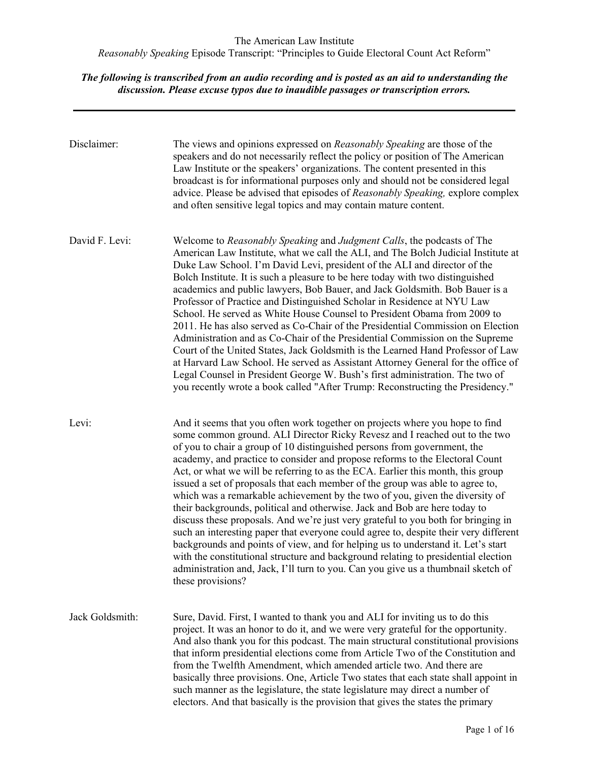| Disclaimer:     | The views and opinions expressed on Reasonably Speaking are those of the<br>speakers and do not necessarily reflect the policy or position of The American<br>Law Institute or the speakers' organizations. The content presented in this<br>broadcast is for informational purposes only and should not be considered legal<br>advice. Please be advised that episodes of Reasonably Speaking, explore complex<br>and often sensitive legal topics and may contain mature content.                                                                                                                                                                                                                                                                                                                                                                                                                                                                                                                                                                                                                                       |
|-----------------|---------------------------------------------------------------------------------------------------------------------------------------------------------------------------------------------------------------------------------------------------------------------------------------------------------------------------------------------------------------------------------------------------------------------------------------------------------------------------------------------------------------------------------------------------------------------------------------------------------------------------------------------------------------------------------------------------------------------------------------------------------------------------------------------------------------------------------------------------------------------------------------------------------------------------------------------------------------------------------------------------------------------------------------------------------------------------------------------------------------------------|
| David F. Levi:  | Welcome to Reasonably Speaking and Judgment Calls, the podcasts of The<br>American Law Institute, what we call the ALI, and The Bolch Judicial Institute at<br>Duke Law School. I'm David Levi, president of the ALI and director of the<br>Bolch Institute. It is such a pleasure to be here today with two distinguished<br>academics and public lawyers, Bob Bauer, and Jack Goldsmith. Bob Bauer is a<br>Professor of Practice and Distinguished Scholar in Residence at NYU Law<br>School. He served as White House Counsel to President Obama from 2009 to<br>2011. He has also served as Co-Chair of the Presidential Commission on Election<br>Administration and as Co-Chair of the Presidential Commission on the Supreme<br>Court of the United States, Jack Goldsmith is the Learned Hand Professor of Law<br>at Harvard Law School. He served as Assistant Attorney General for the office of<br>Legal Counsel in President George W. Bush's first administration. The two of<br>you recently wrote a book called "After Trump: Reconstructing the Presidency."                                              |
| Levi:           | And it seems that you often work together on projects where you hope to find<br>some common ground. ALI Director Ricky Revesz and I reached out to the two<br>of you to chair a group of 10 distinguished persons from government, the<br>academy, and practice to consider and propose reforms to the Electoral Count<br>Act, or what we will be referring to as the ECA. Earlier this month, this group<br>issued a set of proposals that each member of the group was able to agree to,<br>which was a remarkable achievement by the two of you, given the diversity of<br>their backgrounds, political and otherwise. Jack and Bob are here today to<br>discuss these proposals. And we're just very grateful to you both for bringing in<br>such an interesting paper that everyone could agree to, despite their very different<br>backgrounds and points of view, and for helping us to understand it. Let's start<br>with the constitutional structure and background relating to presidential election<br>administration and, Jack, I'll turn to you. Can you give us a thumbnail sketch of<br>these provisions? |
| Jack Goldsmith: | Sure, David. First, I wanted to thank you and ALI for inviting us to do this<br>project. It was an honor to do it, and we were very grateful for the opportunity.<br>And also thank you for this podcast. The main structural constitutional provisions<br>that inform presidential elections come from Article Two of the Constitution and<br>from the Twelfth Amendment, which amended article two. And there are<br>basically three provisions. One, Article Two states that each state shall appoint in<br>such manner as the legislature, the state legislature may direct a number of<br>electors. And that basically is the provision that gives the states the primary                                                                                                                                                                                                                                                                                                                                                                                                                                            |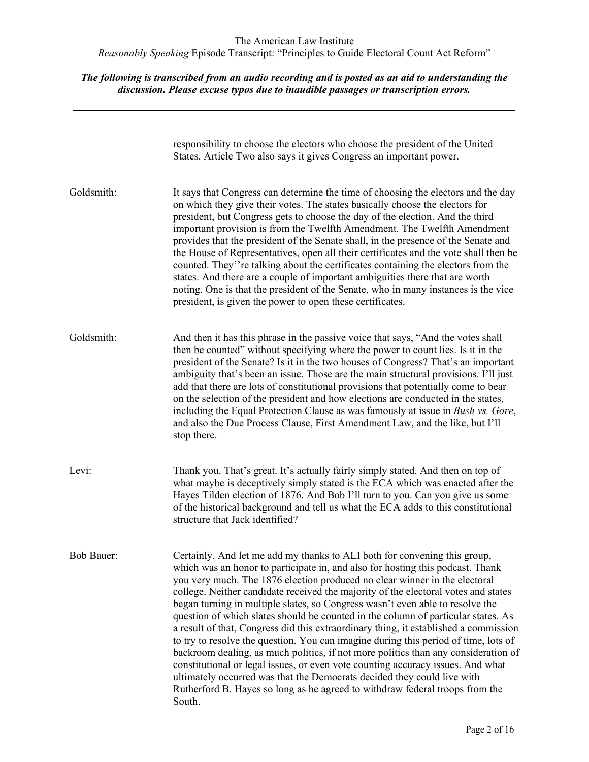|                   | responsibility to choose the electors who choose the president of the United<br>States. Article Two also says it gives Congress an important power.                                                                                                                                                                                                                                                                                                                                                                                                                                                                                                                                                                                                                                                                                                                                                                                                                                                                                |
|-------------------|------------------------------------------------------------------------------------------------------------------------------------------------------------------------------------------------------------------------------------------------------------------------------------------------------------------------------------------------------------------------------------------------------------------------------------------------------------------------------------------------------------------------------------------------------------------------------------------------------------------------------------------------------------------------------------------------------------------------------------------------------------------------------------------------------------------------------------------------------------------------------------------------------------------------------------------------------------------------------------------------------------------------------------|
| Goldsmith:        | It says that Congress can determine the time of choosing the electors and the day<br>on which they give their votes. The states basically choose the electors for<br>president, but Congress gets to choose the day of the election. And the third<br>important provision is from the Twelfth Amendment. The Twelfth Amendment<br>provides that the president of the Senate shall, in the presence of the Senate and<br>the House of Representatives, open all their certificates and the vote shall then be<br>counted. They''re talking about the certificates containing the electors from the<br>states. And there are a couple of important ambiguities there that are worth<br>noting. One is that the president of the Senate, who in many instances is the vice<br>president, is given the power to open these certificates.                                                                                                                                                                                               |
| Goldsmith:        | And then it has this phrase in the passive voice that says, "And the votes shall<br>then be counted" without specifying where the power to count lies. Is it in the<br>president of the Senate? Is it in the two houses of Congress? That's an important<br>ambiguity that's been an issue. Those are the main structural provisions. I'll just<br>add that there are lots of constitutional provisions that potentially come to bear<br>on the selection of the president and how elections are conducted in the states,<br>including the Equal Protection Clause as was famously at issue in Bush vs. Gore,<br>and also the Due Process Clause, First Amendment Law, and the like, but I'll<br>stop there.                                                                                                                                                                                                                                                                                                                       |
| Levi:             | Thank you. That's great. It's actually fairly simply stated. And then on top of<br>what maybe is deceptively simply stated is the ECA which was enacted after the<br>Hayes Tilden election of 1876. And Bob I'll turn to you. Can you give us some<br>of the historical background and tell us what the ECA adds to this constitutional<br>structure that Jack identified?                                                                                                                                                                                                                                                                                                                                                                                                                                                                                                                                                                                                                                                         |
| <b>Bob Bauer:</b> | Certainly. And let me add my thanks to ALI both for convening this group,<br>which was an honor to participate in, and also for hosting this podcast. Thank<br>you very much. The 1876 election produced no clear winner in the electoral<br>college. Neither candidate received the majority of the electoral votes and states<br>began turning in multiple slates, so Congress wasn't even able to resolve the<br>question of which slates should be counted in the column of particular states. As<br>a result of that, Congress did this extraordinary thing, it established a commission<br>to try to resolve the question. You can imagine during this period of time, lots of<br>backroom dealing, as much politics, if not more politics than any consideration of<br>constitutional or legal issues, or even vote counting accuracy issues. And what<br>ultimately occurred was that the Democrats decided they could live with<br>Rutherford B. Hayes so long as he agreed to withdraw federal troops from the<br>South. |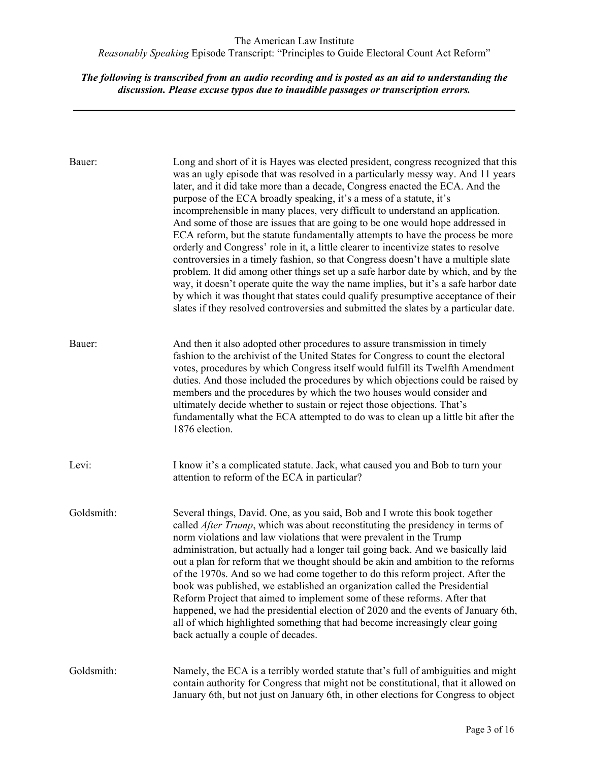| Bauer:     | Long and short of it is Hayes was elected president, congress recognized that this<br>was an ugly episode that was resolved in a particularly messy way. And 11 years<br>later, and it did take more than a decade, Congress enacted the ECA. And the<br>purpose of the ECA broadly speaking, it's a mess of a statute, it's<br>incomprehensible in many places, very difficult to understand an application.<br>And some of those are issues that are going to be one would hope addressed in<br>ECA reform, but the statute fundamentally attempts to have the process be more<br>orderly and Congress' role in it, a little clearer to incentivize states to resolve<br>controversies in a timely fashion, so that Congress doesn't have a multiple slate<br>problem. It did among other things set up a safe harbor date by which, and by the<br>way, it doesn't operate quite the way the name implies, but it's a safe harbor date<br>by which it was thought that states could qualify presumptive acceptance of their<br>slates if they resolved controversies and submitted the slates by a particular date. |
|------------|-----------------------------------------------------------------------------------------------------------------------------------------------------------------------------------------------------------------------------------------------------------------------------------------------------------------------------------------------------------------------------------------------------------------------------------------------------------------------------------------------------------------------------------------------------------------------------------------------------------------------------------------------------------------------------------------------------------------------------------------------------------------------------------------------------------------------------------------------------------------------------------------------------------------------------------------------------------------------------------------------------------------------------------------------------------------------------------------------------------------------|
| Bauer:     | And then it also adopted other procedures to assure transmission in timely<br>fashion to the archivist of the United States for Congress to count the electoral<br>votes, procedures by which Congress itself would fulfill its Twelfth Amendment<br>duties. And those included the procedures by which objections could be raised by<br>members and the procedures by which the two houses would consider and<br>ultimately decide whether to sustain or reject those objections. That's<br>fundamentally what the ECA attempted to do was to clean up a little bit after the<br>1876 election.                                                                                                                                                                                                                                                                                                                                                                                                                                                                                                                      |
| Levi:      | I know it's a complicated statute. Jack, what caused you and Bob to turn your<br>attention to reform of the ECA in particular?                                                                                                                                                                                                                                                                                                                                                                                                                                                                                                                                                                                                                                                                                                                                                                                                                                                                                                                                                                                        |
| Goldsmith: | Several things, David. One, as you said, Bob and I wrote this book together<br>called After Trump, which was about reconstituting the presidency in terms of<br>norm violations and law violations that were prevalent in the Trump<br>administration, but actually had a longer tail going back. And we basically laid<br>out a plan for reform that we thought should be akin and ambition to the reforms<br>of the 1970s. And so we had come together to do this reform project. After the<br>book was published, we established an organization called the Presidential<br>Reform Project that aimed to implement some of these reforms. After that<br>happened, we had the presidential election of 2020 and the events of January 6th,<br>all of which highlighted something that had become increasingly clear going<br>back actually a couple of decades.                                                                                                                                                                                                                                                     |
| Goldsmith: | Namely, the ECA is a terribly worded statute that's full of ambiguities and might<br>contain authority for Congress that might not be constitutional, that it allowed on<br>January 6th, but not just on January 6th, in other elections for Congress to object                                                                                                                                                                                                                                                                                                                                                                                                                                                                                                                                                                                                                                                                                                                                                                                                                                                       |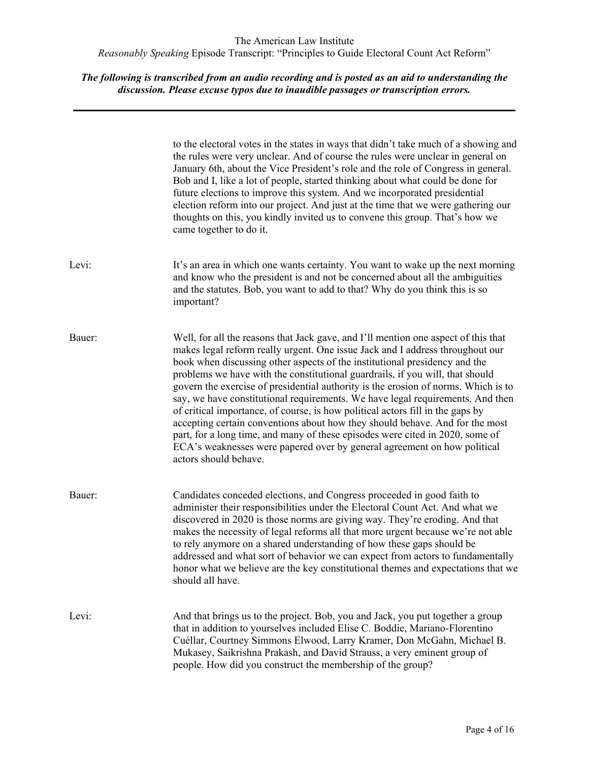|        | to the electoral votes in the states in ways that didn't take much of a showing and<br>the rules were very unclear. And of course the rules were unclear in general on<br>January 6th, about the Vice President's role and the role of Congress in general.<br>Bob and I, like a lot of people, started thinking about what could be done for<br>future elections to improve this system. And we incorporated presidential<br>election reform into our project. And just at the time that we were gathering our<br>thoughts on this, you kindly invited us to convene this group. That's how we<br>came together to do it.                                                                                                                                                                                                                                         |
|--------|--------------------------------------------------------------------------------------------------------------------------------------------------------------------------------------------------------------------------------------------------------------------------------------------------------------------------------------------------------------------------------------------------------------------------------------------------------------------------------------------------------------------------------------------------------------------------------------------------------------------------------------------------------------------------------------------------------------------------------------------------------------------------------------------------------------------------------------------------------------------|
| Levi:  | It's an area in which one wants certainty. You want to wake up the next morning<br>and know who the president is and not be concerned about all the ambiguities<br>and the statutes. Bob, you want to add to that? Why do you think this is so<br>important?                                                                                                                                                                                                                                                                                                                                                                                                                                                                                                                                                                                                       |
| Bauer: | Well, for all the reasons that Jack gave, and I'll mention one aspect of this that<br>makes legal reform really urgent. One issue Jack and I address throughout our<br>book when discussing other aspects of the institutional presidency and the<br>problems we have with the constitutional guardrails, if you will, that should<br>govern the exercise of presidential authority is the erosion of norms. Which is to<br>say, we have constitutional requirements. We have legal requirements. And then<br>of critical importance, of course, is how political actors fill in the gaps by<br>accepting certain conventions about how they should behave. And for the most<br>part, for a long time, and many of these episodes were cited in 2020, some of<br>ECA's weaknesses were papered over by general agreement on how political<br>actors should behave. |
| Bauer: | Candidates conceded elections, and Congress proceeded in good faith to<br>administer their responsibilities under the Electoral Count Act. And what we<br>discovered in 2020 is those norms are giving way. They're eroding. And that<br>makes the necessity of legal reforms all that more urgent because we're not able<br>to rely anymore on a shared understanding of how these gaps should be<br>addressed and what sort of behavior we can expect from actors to fundamentally<br>honor what we believe are the key constitutional themes and expectations that we<br>should all have.                                                                                                                                                                                                                                                                       |
| Levi:  | And that brings us to the project. Bob, you and Jack, you put together a group<br>that in addition to yourselves included Elise C. Boddie, Mariano-Florentino<br>Cuéllar, Courtney Simmons Elwood, Larry Kramer, Don McGahn, Michael B.<br>Mukasey, Saikrishna Prakash, and David Strauss, a very eminent group of<br>people. How did you construct the membership of the group?                                                                                                                                                                                                                                                                                                                                                                                                                                                                                   |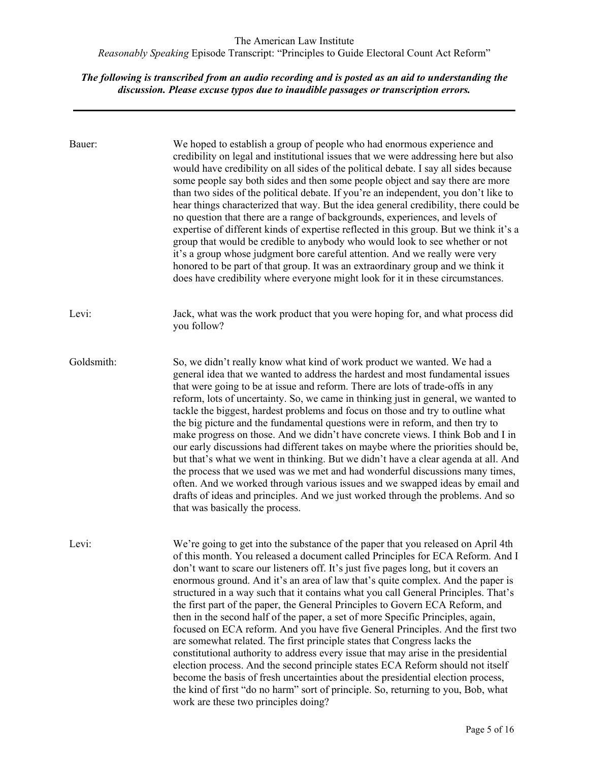| Bauer:     | We hoped to establish a group of people who had enormous experience and<br>credibility on legal and institutional issues that we were addressing here but also<br>would have credibility on all sides of the political debate. I say all sides because<br>some people say both sides and then some people object and say there are more<br>than two sides of the political debate. If you're an independent, you don't like to<br>hear things characterized that way. But the idea general credibility, there could be<br>no question that there are a range of backgrounds, experiences, and levels of<br>expertise of different kinds of expertise reflected in this group. But we think it's a<br>group that would be credible to anybody who would look to see whether or not<br>it's a group whose judgment bore careful attention. And we really were very<br>honored to be part of that group. It was an extraordinary group and we think it<br>does have credibility where everyone might look for it in these circumstances.                                                                                                                         |
|------------|---------------------------------------------------------------------------------------------------------------------------------------------------------------------------------------------------------------------------------------------------------------------------------------------------------------------------------------------------------------------------------------------------------------------------------------------------------------------------------------------------------------------------------------------------------------------------------------------------------------------------------------------------------------------------------------------------------------------------------------------------------------------------------------------------------------------------------------------------------------------------------------------------------------------------------------------------------------------------------------------------------------------------------------------------------------------------------------------------------------------------------------------------------------|
| Levi:      | Jack, what was the work product that you were hoping for, and what process did<br>you follow?                                                                                                                                                                                                                                                                                                                                                                                                                                                                                                                                                                                                                                                                                                                                                                                                                                                                                                                                                                                                                                                                 |
| Goldsmith: | So, we didn't really know what kind of work product we wanted. We had a<br>general idea that we wanted to address the hardest and most fundamental issues<br>that were going to be at issue and reform. There are lots of trade-offs in any<br>reform, lots of uncertainty. So, we came in thinking just in general, we wanted to<br>tackle the biggest, hardest problems and focus on those and try to outline what<br>the big picture and the fundamental questions were in reform, and then try to<br>make progress on those. And we didn't have concrete views. I think Bob and I in<br>our early discussions had different takes on maybe where the priorities should be,<br>but that's what we went in thinking. But we didn't have a clear agenda at all. And<br>the process that we used was we met and had wonderful discussions many times,<br>often. And we worked through various issues and we swapped ideas by email and<br>drafts of ideas and principles. And we just worked through the problems. And so<br>that was basically the process.                                                                                                  |
| Levi:      | We're going to get into the substance of the paper that you released on April 4th<br>of this month. You released a document called Principles for ECA Reform. And I<br>don't want to scare our listeners off. It's just five pages long, but it covers an<br>enormous ground. And it's an area of law that's quite complex. And the paper is<br>structured in a way such that it contains what you call General Principles. That's<br>the first part of the paper, the General Principles to Govern ECA Reform, and<br>then in the second half of the paper, a set of more Specific Principles, again,<br>focused on ECA reform. And you have five General Principles. And the first two<br>are somewhat related. The first principle states that Congress lacks the<br>constitutional authority to address every issue that may arise in the presidential<br>election process. And the second principle states ECA Reform should not itself<br>become the basis of fresh uncertainties about the presidential election process,<br>the kind of first "do no harm" sort of principle. So, returning to you, Bob, what<br>work are these two principles doing? |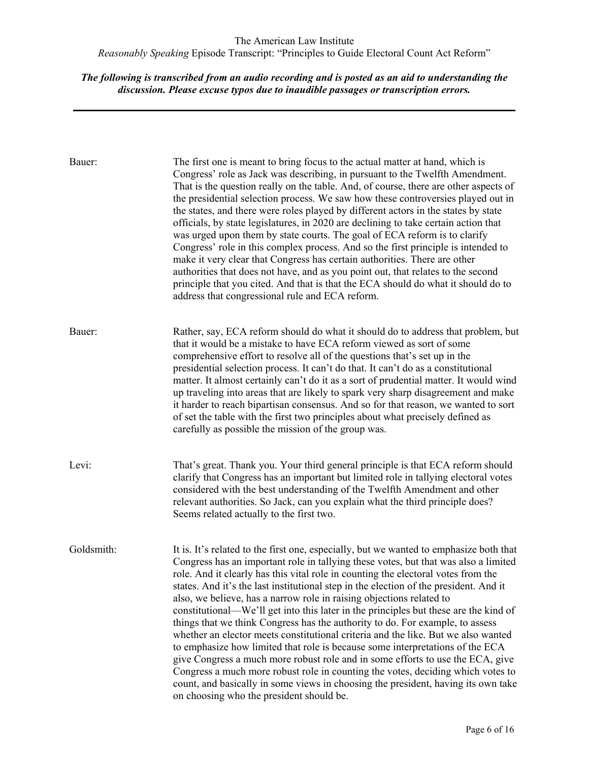| Bauer:     | The first one is meant to bring focus to the actual matter at hand, which is<br>Congress' role as Jack was describing, in pursuant to the Twelfth Amendment.<br>That is the question really on the table. And, of course, there are other aspects of<br>the presidential selection process. We saw how these controversies played out in<br>the states, and there were roles played by different actors in the states by state<br>officials, by state legislatures, in 2020 are declining to take certain action that<br>was urged upon them by state courts. The goal of ECA reform is to clarify<br>Congress' role in this complex process. And so the first principle is intended to<br>make it very clear that Congress has certain authorities. There are other<br>authorities that does not have, and as you point out, that relates to the second<br>principle that you cited. And that is that the ECA should do what it should do to<br>address that congressional rule and ECA reform.                                                                                         |
|------------|------------------------------------------------------------------------------------------------------------------------------------------------------------------------------------------------------------------------------------------------------------------------------------------------------------------------------------------------------------------------------------------------------------------------------------------------------------------------------------------------------------------------------------------------------------------------------------------------------------------------------------------------------------------------------------------------------------------------------------------------------------------------------------------------------------------------------------------------------------------------------------------------------------------------------------------------------------------------------------------------------------------------------------------------------------------------------------------|
| Bauer:     | Rather, say, ECA reform should do what it should do to address that problem, but<br>that it would be a mistake to have ECA reform viewed as sort of some<br>comprehensive effort to resolve all of the questions that's set up in the<br>presidential selection process. It can't do that. It can't do as a constitutional<br>matter. It almost certainly can't do it as a sort of prudential matter. It would wind<br>up traveling into areas that are likely to spark very sharp disagreement and make<br>it harder to reach bipartisan consensus. And so for that reason, we wanted to sort<br>of set the table with the first two principles about what precisely defined as<br>carefully as possible the mission of the group was.                                                                                                                                                                                                                                                                                                                                                  |
| Levi:      | That's great. Thank you. Your third general principle is that ECA reform should<br>clarify that Congress has an important but limited role in tallying electoral votes<br>considered with the best understanding of the Twelfth Amendment and other<br>relevant authorities. So Jack, can you explain what the third principle does?<br>Seems related actually to the first two.                                                                                                                                                                                                                                                                                                                                                                                                                                                                                                                                                                                                                                                                                                         |
| Goldsmith: | It is. It's related to the first one, especially, but we wanted to emphasize both that<br>Congress has an important role in tallying these votes, but that was also a limited<br>role. And it clearly has this vital role in counting the electoral votes from the<br>states. And it's the last institutional step in the election of the president. And it<br>also, we believe, has a narrow role in raising objections related to<br>constitutional—We'll get into this later in the principles but these are the kind of<br>things that we think Congress has the authority to do. For example, to assess<br>whether an elector meets constitutional criteria and the like. But we also wanted<br>to emphasize how limited that role is because some interpretations of the ECA<br>give Congress a much more robust role and in some efforts to use the ECA, give<br>Congress a much more robust role in counting the votes, deciding which votes to<br>count, and basically in some views in choosing the president, having its own take<br>on choosing who the president should be. |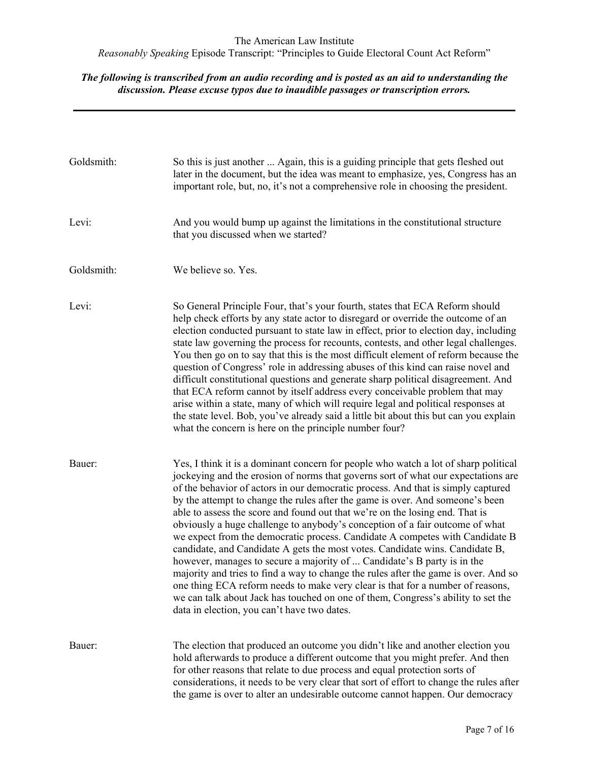| Goldsmith: | So this is just another  Again, this is a guiding principle that gets fleshed out<br>later in the document, but the idea was meant to emphasize, yes, Congress has an<br>important role, but, no, it's not a comprehensive role in choosing the president.                                                                                                                                                                                                                                                                                                                                                                                                                                                                                                                                                                                                                                                                                                                                                                                                           |
|------------|----------------------------------------------------------------------------------------------------------------------------------------------------------------------------------------------------------------------------------------------------------------------------------------------------------------------------------------------------------------------------------------------------------------------------------------------------------------------------------------------------------------------------------------------------------------------------------------------------------------------------------------------------------------------------------------------------------------------------------------------------------------------------------------------------------------------------------------------------------------------------------------------------------------------------------------------------------------------------------------------------------------------------------------------------------------------|
| Levi:      | And you would bump up against the limitations in the constitutional structure<br>that you discussed when we started?                                                                                                                                                                                                                                                                                                                                                                                                                                                                                                                                                                                                                                                                                                                                                                                                                                                                                                                                                 |
| Goldsmith: | We believe so. Yes.                                                                                                                                                                                                                                                                                                                                                                                                                                                                                                                                                                                                                                                                                                                                                                                                                                                                                                                                                                                                                                                  |
| Levi:      | So General Principle Four, that's your fourth, states that ECA Reform should<br>help check efforts by any state actor to disregard or override the outcome of an<br>election conducted pursuant to state law in effect, prior to election day, including<br>state law governing the process for recounts, contests, and other legal challenges.<br>You then go on to say that this is the most difficult element of reform because the<br>question of Congress' role in addressing abuses of this kind can raise novel and<br>difficult constitutional questions and generate sharp political disagreement. And<br>that ECA reform cannot by itself address every conceivable problem that may<br>arise within a state, many of which will require legal and political responses at<br>the state level. Bob, you've already said a little bit about this but can you explain<br>what the concern is here on the principle number four?                                                                                                                               |
| Bauer:     | Yes, I think it is a dominant concern for people who watch a lot of sharp political<br>jockeying and the erosion of norms that governs sort of what our expectations are<br>of the behavior of actors in our democratic process. And that is simply captured<br>by the attempt to change the rules after the game is over. And someone's been<br>able to assess the score and found out that we're on the losing end. That is<br>obviously a huge challenge to anybody's conception of a fair outcome of what<br>we expect from the democratic process. Candidate A competes with Candidate B<br>candidate, and Candidate A gets the most votes. Candidate wins. Candidate B,<br>however, manages to secure a majority of  Candidate's B party is in the<br>majority and tries to find a way to change the rules after the game is over. And so<br>one thing ECA reform needs to make very clear is that for a number of reasons,<br>we can talk about Jack has touched on one of them, Congress's ability to set the<br>data in election, you can't have two dates. |
| Bauer:     | The election that produced an outcome you didn't like and another election you<br>hold afterwards to produce a different outcome that you might prefer. And then<br>for other reasons that relate to due process and equal protection sorts of<br>considerations, it needs to be very clear that sort of effort to change the rules after<br>the game is over to alter an undesirable outcome cannot happen. Our democracy                                                                                                                                                                                                                                                                                                                                                                                                                                                                                                                                                                                                                                           |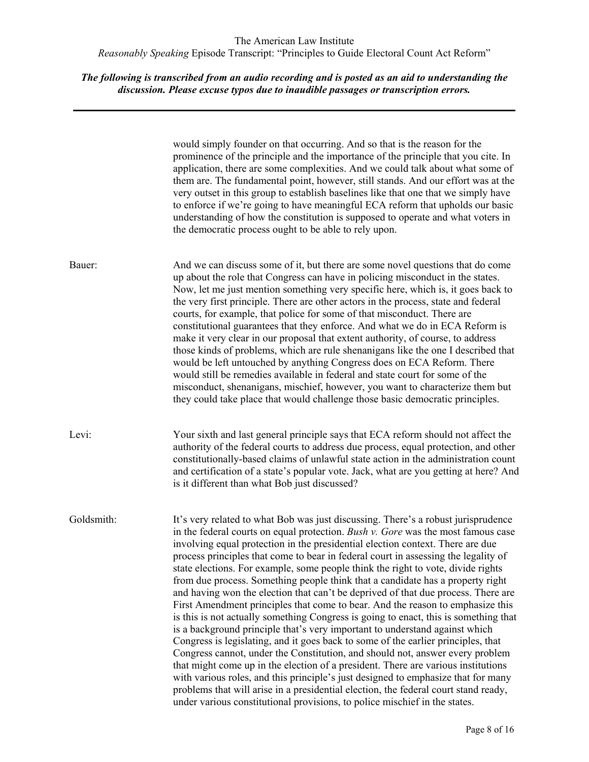|            | would simply founder on that occurring. And so that is the reason for the<br>prominence of the principle and the importance of the principle that you cite. In<br>application, there are some complexities. And we could talk about what some of<br>them are. The fundamental point, however, still stands. And our effort was at the<br>very outset in this group to establish baselines like that one that we simply have<br>to enforce if we're going to have meaningful ECA reform that upholds our basic<br>understanding of how the constitution is supposed to operate and what voters in<br>the democratic process ought to be able to rely upon.                                                                                                                                                                                                                                                                                                                                                                                                                                                                                                                                                                                                                                                                                                                              |
|------------|----------------------------------------------------------------------------------------------------------------------------------------------------------------------------------------------------------------------------------------------------------------------------------------------------------------------------------------------------------------------------------------------------------------------------------------------------------------------------------------------------------------------------------------------------------------------------------------------------------------------------------------------------------------------------------------------------------------------------------------------------------------------------------------------------------------------------------------------------------------------------------------------------------------------------------------------------------------------------------------------------------------------------------------------------------------------------------------------------------------------------------------------------------------------------------------------------------------------------------------------------------------------------------------------------------------------------------------------------------------------------------------|
| Bauer:     | And we can discuss some of it, but there are some novel questions that do come<br>up about the role that Congress can have in policing misconduct in the states.<br>Now, let me just mention something very specific here, which is, it goes back to<br>the very first principle. There are other actors in the process, state and federal<br>courts, for example, that police for some of that misconduct. There are<br>constitutional guarantees that they enforce. And what we do in ECA Reform is<br>make it very clear in our proposal that extent authority, of course, to address<br>those kinds of problems, which are rule shenanigans like the one I described that<br>would be left untouched by anything Congress does on ECA Reform. There<br>would still be remedies available in federal and state court for some of the<br>misconduct, shenanigans, mischief, however, you want to characterize them but<br>they could take place that would challenge those basic democratic principles.                                                                                                                                                                                                                                                                                                                                                                              |
| Levi:      | Your sixth and last general principle says that ECA reform should not affect the<br>authority of the federal courts to address due process, equal protection, and other<br>constitutionally-based claims of unlawful state action in the administration count<br>and certification of a state's popular vote. Jack, what are you getting at here? And<br>is it different than what Bob just discussed?                                                                                                                                                                                                                                                                                                                                                                                                                                                                                                                                                                                                                                                                                                                                                                                                                                                                                                                                                                                 |
| Goldsmith: | It's very related to what Bob was just discussing. There's a robust jurisprudence<br>in the federal courts on equal protection. Bush v. Gore was the most famous case<br>involving equal protection in the presidential election context. There are due<br>process principles that come to bear in federal court in assessing the legality of<br>state elections. For example, some people think the right to vote, divide rights<br>from due process. Something people think that a candidate has a property right<br>and having won the election that can't be deprived of that due process. There are<br>First Amendment principles that come to bear. And the reason to emphasize this<br>is this is not actually something Congress is going to enact, this is something that<br>is a background principle that's very important to understand against which<br>Congress is legislating, and it goes back to some of the earlier principles, that<br>Congress cannot, under the Constitution, and should not, answer every problem<br>that might come up in the election of a president. There are various institutions<br>with various roles, and this principle's just designed to emphasize that for many<br>problems that will arise in a presidential election, the federal court stand ready,<br>under various constitutional provisions, to police mischief in the states. |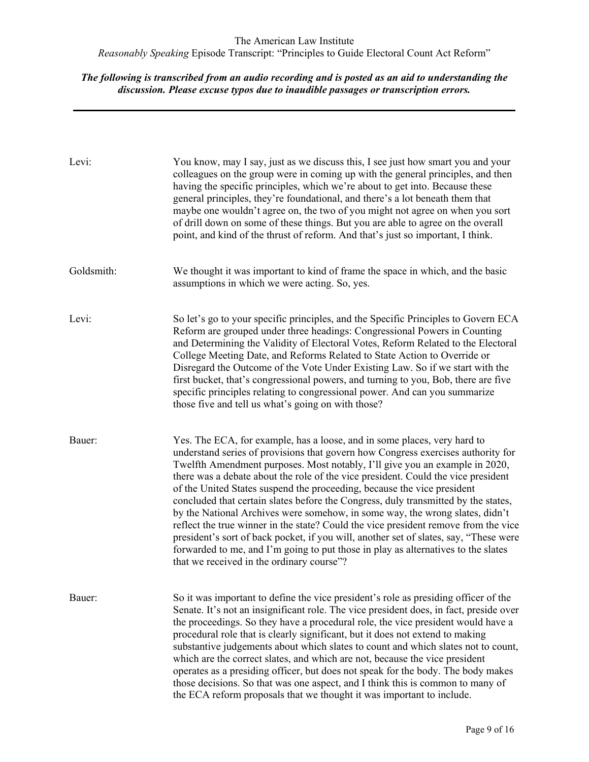| Levi:      | You know, may I say, just as we discuss this, I see just how smart you and your<br>colleagues on the group were in coming up with the general principles, and then<br>having the specific principles, which we're about to get into. Because these<br>general principles, they're foundational, and there's a lot beneath them that<br>maybe one wouldn't agree on, the two of you might not agree on when you sort<br>of drill down on some of these things. But you are able to agree on the overall<br>point, and kind of the thrust of reform. And that's just so important, I think.                                                                                                                                                                                                                                                                                                           |
|------------|-----------------------------------------------------------------------------------------------------------------------------------------------------------------------------------------------------------------------------------------------------------------------------------------------------------------------------------------------------------------------------------------------------------------------------------------------------------------------------------------------------------------------------------------------------------------------------------------------------------------------------------------------------------------------------------------------------------------------------------------------------------------------------------------------------------------------------------------------------------------------------------------------------|
| Goldsmith: | We thought it was important to kind of frame the space in which, and the basic<br>assumptions in which we were acting. So, yes.                                                                                                                                                                                                                                                                                                                                                                                                                                                                                                                                                                                                                                                                                                                                                                     |
| Levi:      | So let's go to your specific principles, and the Specific Principles to Govern ECA<br>Reform are grouped under three headings: Congressional Powers in Counting<br>and Determining the Validity of Electoral Votes, Reform Related to the Electoral<br>College Meeting Date, and Reforms Related to State Action to Override or<br>Disregard the Outcome of the Vote Under Existing Law. So if we start with the<br>first bucket, that's congressional powers, and turning to you, Bob, there are five<br>specific principles relating to congressional power. And can you summarize<br>those five and tell us what's going on with those?                                                                                                                                                                                                                                                          |
| Bauer:     | Yes. The ECA, for example, has a loose, and in some places, very hard to<br>understand series of provisions that govern how Congress exercises authority for<br>Twelfth Amendment purposes. Most notably, I'll give you an example in 2020,<br>there was a debate about the role of the vice president. Could the vice president<br>of the United States suspend the proceeding, because the vice president<br>concluded that certain slates before the Congress, duly transmitted by the states,<br>by the National Archives were somehow, in some way, the wrong slates, didn't<br>reflect the true winner in the state? Could the vice president remove from the vice<br>president's sort of back pocket, if you will, another set of slates, say, "These were<br>forwarded to me, and I'm going to put those in play as alternatives to the slates<br>that we received in the ordinary course"? |
| Bauer:     | So it was important to define the vice president's role as presiding officer of the<br>Senate. It's not an insignificant role. The vice president does, in fact, preside over<br>the proceedings. So they have a procedural role, the vice president would have a<br>procedural role that is clearly significant, but it does not extend to making<br>substantive judgements about which slates to count and which slates not to count,<br>which are the correct slates, and which are not, because the vice president<br>operates as a presiding officer, but does not speak for the body. The body makes<br>those decisions. So that was one aspect, and I think this is common to many of<br>the ECA reform proposals that we thought it was important to include.                                                                                                                               |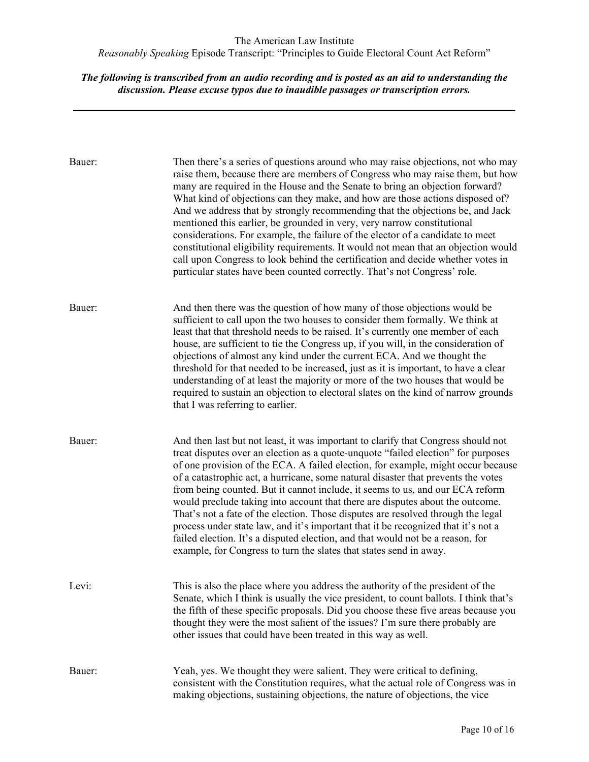| Bauer: | Then there's a series of questions around who may raise objections, not who may<br>raise them, because there are members of Congress who may raise them, but how<br>many are required in the House and the Senate to bring an objection forward?<br>What kind of objections can they make, and how are those actions disposed of?<br>And we address that by strongly recommending that the objections be, and Jack<br>mentioned this earlier, be grounded in very, very narrow constitutional<br>considerations. For example, the failure of the elector of a candidate to meet<br>constitutional eligibility requirements. It would not mean that an objection would<br>call upon Congress to look behind the certification and decide whether votes in<br>particular states have been counted correctly. That's not Congress' role.              |
|--------|----------------------------------------------------------------------------------------------------------------------------------------------------------------------------------------------------------------------------------------------------------------------------------------------------------------------------------------------------------------------------------------------------------------------------------------------------------------------------------------------------------------------------------------------------------------------------------------------------------------------------------------------------------------------------------------------------------------------------------------------------------------------------------------------------------------------------------------------------|
| Bauer: | And then there was the question of how many of those objections would be<br>sufficient to call upon the two houses to consider them formally. We think at<br>least that that threshold needs to be raised. It's currently one member of each<br>house, are sufficient to tie the Congress up, if you will, in the consideration of<br>objections of almost any kind under the current ECA. And we thought the<br>threshold for that needed to be increased, just as it is important, to have a clear<br>understanding of at least the majority or more of the two houses that would be<br>required to sustain an objection to electoral slates on the kind of narrow grounds<br>that I was referring to earlier.                                                                                                                                   |
| Bauer: | And then last but not least, it was important to clarify that Congress should not<br>treat disputes over an election as a quote-unquote "failed election" for purposes<br>of one provision of the ECA. A failed election, for example, might occur because<br>of a catastrophic act, a hurricane, some natural disaster that prevents the votes<br>from being counted. But it cannot include, it seems to us, and our ECA reform<br>would preclude taking into account that there are disputes about the outcome.<br>That's not a fate of the election. Those disputes are resolved through the legal<br>process under state law, and it's important that it be recognized that it's not a<br>failed election. It's a disputed election, and that would not be a reason, for<br>example, for Congress to turn the slates that states send in away. |
| Levi:  | This is also the place where you address the authority of the president of the<br>Senate, which I think is usually the vice president, to count ballots. I think that's<br>the fifth of these specific proposals. Did you choose these five areas because you<br>thought they were the most salient of the issues? I'm sure there probably are<br>other issues that could have been treated in this way as well.                                                                                                                                                                                                                                                                                                                                                                                                                                   |
| Bauer: | Yeah, yes. We thought they were salient. They were critical to defining,<br>consistent with the Constitution requires, what the actual role of Congress was in<br>making objections, sustaining objections, the nature of objections, the vice                                                                                                                                                                                                                                                                                                                                                                                                                                                                                                                                                                                                     |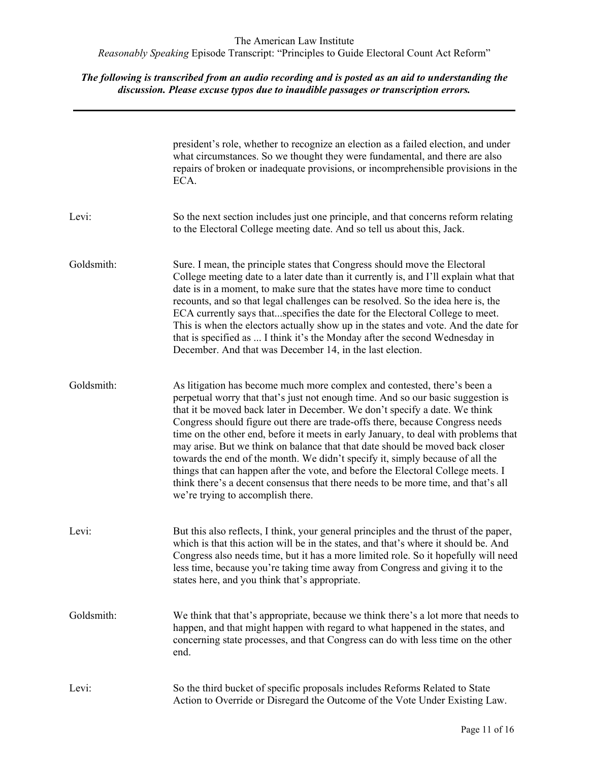|            | president's role, whether to recognize an election as a failed election, and under<br>what circumstances. So we thought they were fundamental, and there are also<br>repairs of broken or inadequate provisions, or incomprehensible provisions in the<br>ECA.                                                                                                                                                                                                                                                                                                                                                                                                                                                                                                                                     |
|------------|----------------------------------------------------------------------------------------------------------------------------------------------------------------------------------------------------------------------------------------------------------------------------------------------------------------------------------------------------------------------------------------------------------------------------------------------------------------------------------------------------------------------------------------------------------------------------------------------------------------------------------------------------------------------------------------------------------------------------------------------------------------------------------------------------|
| Levi:      | So the next section includes just one principle, and that concerns reform relating<br>to the Electoral College meeting date. And so tell us about this, Jack.                                                                                                                                                                                                                                                                                                                                                                                                                                                                                                                                                                                                                                      |
| Goldsmith: | Sure. I mean, the principle states that Congress should move the Electoral<br>College meeting date to a later date than it currently is, and I'll explain what that<br>date is in a moment, to make sure that the states have more time to conduct<br>recounts, and so that legal challenges can be resolved. So the idea here is, the<br>ECA currently says thatspecifies the date for the Electoral College to meet.<br>This is when the electors actually show up in the states and vote. And the date for<br>that is specified as  I think it's the Monday after the second Wednesday in<br>December. And that was December 14, in the last election.                                                                                                                                          |
| Goldsmith: | As litigation has become much more complex and contested, there's been a<br>perpetual worry that that's just not enough time. And so our basic suggestion is<br>that it be moved back later in December. We don't specify a date. We think<br>Congress should figure out there are trade-offs there, because Congress needs<br>time on the other end, before it meets in early January, to deal with problems that<br>may arise. But we think on balance that that date should be moved back closer<br>towards the end of the month. We didn't specify it, simply because of all the<br>things that can happen after the vote, and before the Electoral College meets. I<br>think there's a decent consensus that there needs to be more time, and that's all<br>we're trying to accomplish there. |
| Levi:      | But this also reflects, I think, your general principles and the thrust of the paper,<br>which is that this action will be in the states, and that's where it should be. And<br>Congress also needs time, but it has a more limited role. So it hopefully will need<br>less time, because you're taking time away from Congress and giving it to the<br>states here, and you think that's appropriate.                                                                                                                                                                                                                                                                                                                                                                                             |
| Goldsmith: | We think that that's appropriate, because we think there's a lot more that needs to<br>happen, and that might happen with regard to what happened in the states, and<br>concerning state processes, and that Congress can do with less time on the other<br>end.                                                                                                                                                                                                                                                                                                                                                                                                                                                                                                                                   |
| Levi:      | So the third bucket of specific proposals includes Reforms Related to State<br>Action to Override or Disregard the Outcome of the Vote Under Existing Law.                                                                                                                                                                                                                                                                                                                                                                                                                                                                                                                                                                                                                                         |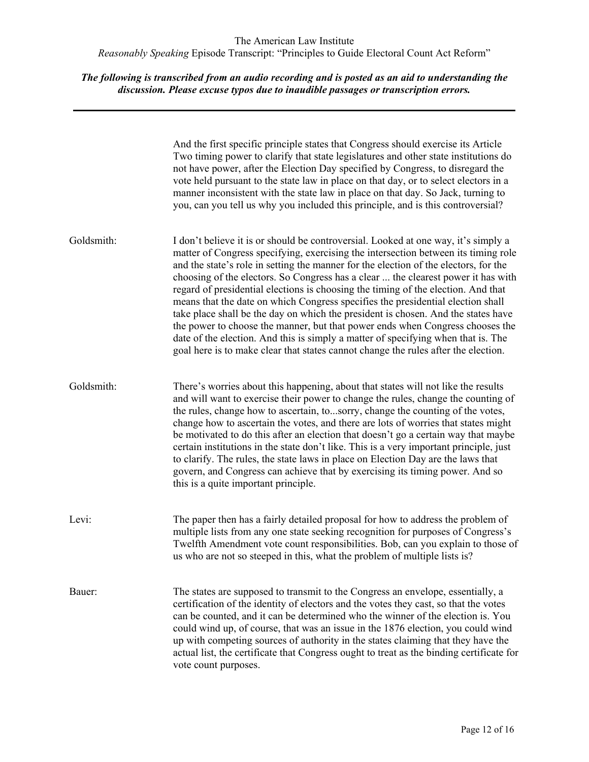*The following is transcribed from an audio recording and is posted as an aid to understanding the discussion. Please excuse typos due to inaudible passages or transcription errors.*

And the first specific principle states that Congress should exercise its Article Two timing power to clarify that state legislatures and other state institutions do not have power, after the Election Day specified by Congress, to disregard the vote held pursuant to the state law in place on that day, or to select electors in a manner inconsistent with the state law in place on that day. So Jack, turning to you, can you tell us why you included this principle, and is this controversial? Goldsmith: I don't believe it is or should be controversial. Looked at one way, it's simply a matter of Congress specifying, exercising the intersection between its timing role and the state's role in setting the manner for the election of the electors, for the choosing of the electors. So Congress has a clear ... the clearest power it has with regard of presidential elections is choosing the timing of the election. And that means that the date on which Congress specifies the presidential election shall take place shall be the day on which the president is chosen. And the states have the power to choose the manner, but that power ends when Congress chooses the date of the election. And this is simply a matter of specifying when that is. The goal here is to make clear that states cannot change the rules after the election. Goldsmith: There's worries about this happening, about that states will not like the results and will want to exercise their power to change the rules, change the counting of the rules, change how to ascertain, to...sorry, change the counting of the votes, change how to ascertain the votes, and there are lots of worries that states might be motivated to do this after an election that doesn't go a certain way that maybe certain institutions in the state don't like. This is a very important principle, just to clarify. The rules, the state laws in place on Election Day are the laws that govern, and Congress can achieve that by exercising its timing power. And so this is a quite important principle. Levi: The paper then has a fairly detailed proposal for how to address the problem of multiple lists from any one state seeking recognition for purposes of Congress's Twelfth Amendment vote count responsibilities. Bob, can you explain to those of us who are not so steeped in this, what the problem of multiple lists is? Bauer: The states are supposed to transmit to the Congress an envelope, essentially, a certification of the identity of electors and the votes they cast, so that the votes can be counted, and it can be determined who the winner of the election is. You could wind up, of course, that was an issue in the 1876 election, you could wind up with competing sources of authority in the states claiming that they have the actual list, the certificate that Congress ought to treat as the binding certificate for vote count purposes.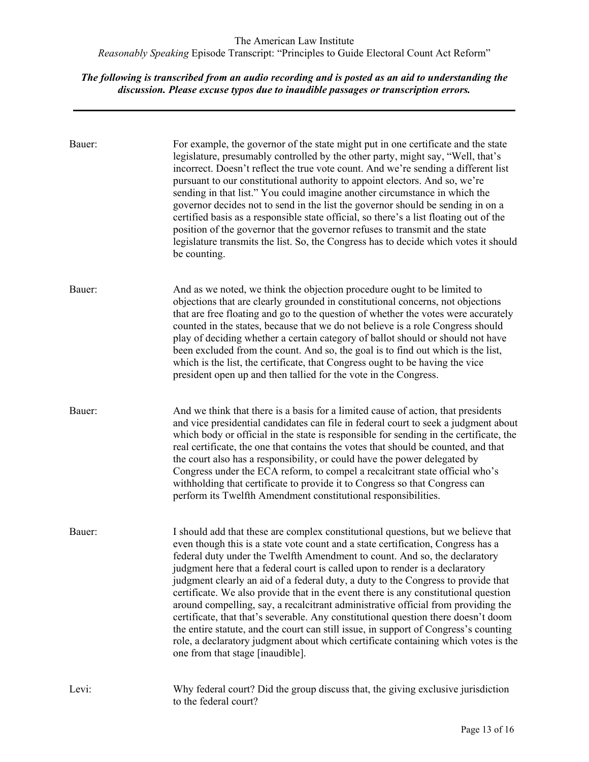| Bauer: | For example, the governor of the state might put in one certificate and the state<br>legislature, presumably controlled by the other party, might say, "Well, that's<br>incorrect. Doesn't reflect the true vote count. And we're sending a different list<br>pursuant to our constitutional authority to appoint electors. And so, we're<br>sending in that list." You could imagine another circumstance in which the<br>governor decides not to send in the list the governor should be sending in on a<br>certified basis as a responsible state official, so there's a list floating out of the<br>position of the governor that the governor refuses to transmit and the state<br>legislature transmits the list. So, the Congress has to decide which votes it should<br>be counting.                                                                                                                 |
|--------|--------------------------------------------------------------------------------------------------------------------------------------------------------------------------------------------------------------------------------------------------------------------------------------------------------------------------------------------------------------------------------------------------------------------------------------------------------------------------------------------------------------------------------------------------------------------------------------------------------------------------------------------------------------------------------------------------------------------------------------------------------------------------------------------------------------------------------------------------------------------------------------------------------------|
| Bauer: | And as we noted, we think the objection procedure ought to be limited to<br>objections that are clearly grounded in constitutional concerns, not objections<br>that are free floating and go to the question of whether the votes were accurately<br>counted in the states, because that we do not believe is a role Congress should<br>play of deciding whether a certain category of ballot should or should not have<br>been excluded from the count. And so, the goal is to find out which is the list,<br>which is the list, the certificate, that Congress ought to be having the vice<br>president open up and then tallied for the vote in the Congress.                                                                                                                                                                                                                                             |
| Bauer: | And we think that there is a basis for a limited cause of action, that presidents<br>and vice presidential candidates can file in federal court to seek a judgment about<br>which body or official in the state is responsible for sending in the certificate, the<br>real certificate, the one that contains the votes that should be counted, and that<br>the court also has a responsibility, or could have the power delegated by<br>Congress under the ECA reform, to compel a recalcitrant state official who's<br>withholding that certificate to provide it to Congress so that Congress can<br>perform its Twelfth Amendment constitutional responsibilities.                                                                                                                                                                                                                                       |
| Bauer: | I should add that these are complex constitutional questions, but we believe that<br>even though this is a state vote count and a state certification, Congress has a<br>federal duty under the Twelfth Amendment to count. And so, the declaratory<br>judgment here that a federal court is called upon to render is a declaratory<br>judgment clearly an aid of a federal duty, a duty to the Congress to provide that<br>certificate. We also provide that in the event there is any constitutional question<br>around compelling, say, a recalcitrant administrative official from providing the<br>certificate, that that's severable. Any constitutional question there doesn't doom<br>the entire statute, and the court can still issue, in support of Congress's counting<br>role, a declaratory judgment about which certificate containing which votes is the<br>one from that stage [inaudible]. |
| Levi:  | Why federal court? Did the group discuss that, the giving exclusive jurisdiction<br>to the federal court?                                                                                                                                                                                                                                                                                                                                                                                                                                                                                                                                                                                                                                                                                                                                                                                                    |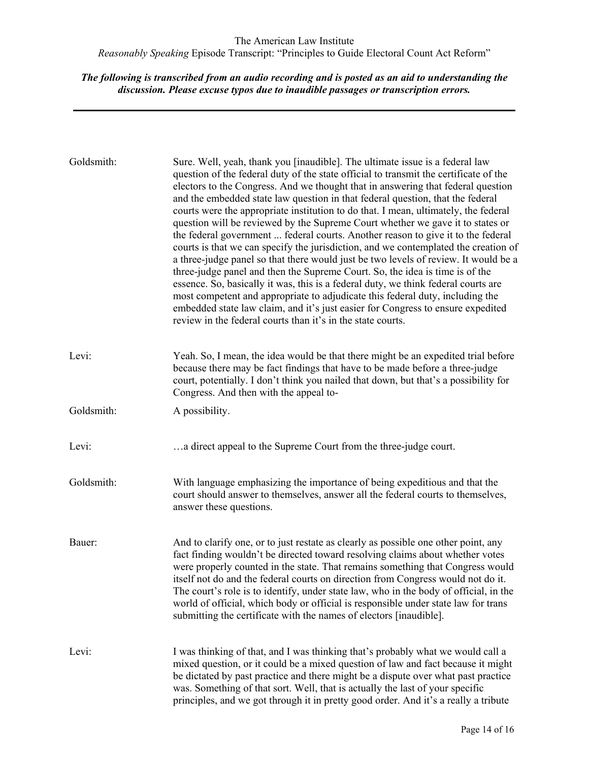| Goldsmith: | Sure. Well, yeah, thank you [inaudible]. The ultimate issue is a federal law<br>question of the federal duty of the state official to transmit the certificate of the<br>electors to the Congress. And we thought that in answering that federal question<br>and the embedded state law question in that federal question, that the federal<br>courts were the appropriate institution to do that. I mean, ultimately, the federal<br>question will be reviewed by the Supreme Court whether we gave it to states or<br>the federal government  federal courts. Another reason to give it to the federal<br>courts is that we can specify the jurisdiction, and we contemplated the creation of<br>a three-judge panel so that there would just be two levels of review. It would be a<br>three-judge panel and then the Supreme Court. So, the idea is time is of the<br>essence. So, basically it was, this is a federal duty, we think federal courts are<br>most competent and appropriate to adjudicate this federal duty, including the<br>embedded state law claim, and it's just easier for Congress to ensure expedited<br>review in the federal courts than it's in the state courts. |
|------------|-------------------------------------------------------------------------------------------------------------------------------------------------------------------------------------------------------------------------------------------------------------------------------------------------------------------------------------------------------------------------------------------------------------------------------------------------------------------------------------------------------------------------------------------------------------------------------------------------------------------------------------------------------------------------------------------------------------------------------------------------------------------------------------------------------------------------------------------------------------------------------------------------------------------------------------------------------------------------------------------------------------------------------------------------------------------------------------------------------------------------------------------------------------------------------------------------|
| Levi:      | Yeah. So, I mean, the idea would be that there might be an expedited trial before<br>because there may be fact findings that have to be made before a three-judge<br>court, potentially. I don't think you nailed that down, but that's a possibility for<br>Congress. And then with the appeal to-                                                                                                                                                                                                                                                                                                                                                                                                                                                                                                                                                                                                                                                                                                                                                                                                                                                                                             |
| Goldsmith: | A possibility.                                                                                                                                                                                                                                                                                                                                                                                                                                                                                                                                                                                                                                                                                                                                                                                                                                                                                                                                                                                                                                                                                                                                                                                  |
| Levi:      | a direct appeal to the Supreme Court from the three-judge court.                                                                                                                                                                                                                                                                                                                                                                                                                                                                                                                                                                                                                                                                                                                                                                                                                                                                                                                                                                                                                                                                                                                                |
| Goldsmith: | With language emphasizing the importance of being expeditious and that the<br>court should answer to themselves, answer all the federal courts to themselves,<br>answer these questions.                                                                                                                                                                                                                                                                                                                                                                                                                                                                                                                                                                                                                                                                                                                                                                                                                                                                                                                                                                                                        |
| Bauer:     | And to clarify one, or to just restate as clearly as possible one other point, any<br>fact finding wouldn't be directed toward resolving claims about whether votes<br>were properly counted in the state. That remains something that Congress would<br>itself not do and the federal courts on direction from Congress would not do it.<br>The court's role is to identify, under state law, who in the body of official, in the<br>world of official, which body or official is responsible under state law for trans<br>submitting the certificate with the names of electors [inaudible].                                                                                                                                                                                                                                                                                                                                                                                                                                                                                                                                                                                                  |
| Levi:      | I was thinking of that, and I was thinking that's probably what we would call a<br>mixed question, or it could be a mixed question of law and fact because it might<br>be dictated by past practice and there might be a dispute over what past practice<br>was. Something of that sort. Well, that is actually the last of your specific<br>principles, and we got through it in pretty good order. And it's a really a tribute                                                                                                                                                                                                                                                                                                                                                                                                                                                                                                                                                                                                                                                                                                                                                                |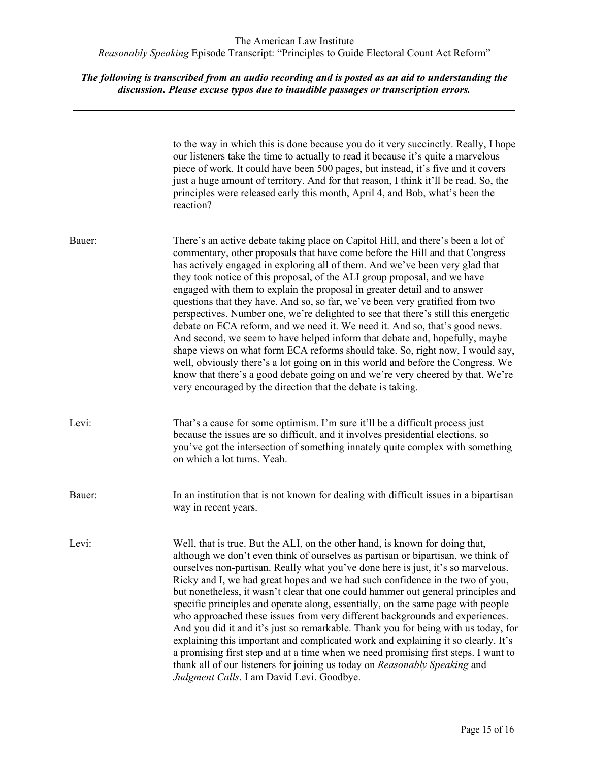|        | to the way in which this is done because you do it very succinctly. Really, I hope<br>our listeners take the time to actually to read it because it's quite a marvelous<br>piece of work. It could have been 500 pages, but instead, it's five and it covers<br>just a huge amount of territory. And for that reason, I think it'll be read. So, the<br>principles were released early this month, April 4, and Bob, what's been the<br>reaction?                                                                                                                                                                                                                                                                                                                                                                                                                                                                                                                                                                                                                    |
|--------|----------------------------------------------------------------------------------------------------------------------------------------------------------------------------------------------------------------------------------------------------------------------------------------------------------------------------------------------------------------------------------------------------------------------------------------------------------------------------------------------------------------------------------------------------------------------------------------------------------------------------------------------------------------------------------------------------------------------------------------------------------------------------------------------------------------------------------------------------------------------------------------------------------------------------------------------------------------------------------------------------------------------------------------------------------------------|
| Bauer: | There's an active debate taking place on Capitol Hill, and there's been a lot of<br>commentary, other proposals that have come before the Hill and that Congress<br>has actively engaged in exploring all of them. And we've been very glad that<br>they took notice of this proposal, of the ALI group proposal, and we have<br>engaged with them to explain the proposal in greater detail and to answer<br>questions that they have. And so, so far, we've been very gratified from two<br>perspectives. Number one, we're delighted to see that there's still this energetic<br>debate on ECA reform, and we need it. We need it. And so, that's good news.<br>And second, we seem to have helped inform that debate and, hopefully, maybe<br>shape views on what form ECA reforms should take. So, right now, I would say,<br>well, obviously there's a lot going on in this world and before the Congress. We<br>know that there's a good debate going on and we're very cheered by that. We're<br>very encouraged by the direction that the debate is taking. |
| Levi:  | That's a cause for some optimism. I'm sure it'll be a difficult process just<br>because the issues are so difficult, and it involves presidential elections, so<br>you've got the intersection of something innately quite complex with something<br>on which a lot turns. Yeah.                                                                                                                                                                                                                                                                                                                                                                                                                                                                                                                                                                                                                                                                                                                                                                                     |
| Bauer: | In an institution that is not known for dealing with difficult issues in a bipartisan<br>way in recent years.                                                                                                                                                                                                                                                                                                                                                                                                                                                                                                                                                                                                                                                                                                                                                                                                                                                                                                                                                        |
| Levi:  | Well, that is true. But the ALI, on the other hand, is known for doing that,<br>although we don't even think of ourselves as partisan or bipartisan, we think of<br>ourselves non-partisan. Really what you've done here is just, it's so marvelous.<br>Ricky and I, we had great hopes and we had such confidence in the two of you,<br>but nonetheless, it wasn't clear that one could hammer out general principles and<br>specific principles and operate along, essentially, on the same page with people<br>who approached these issues from very different backgrounds and experiences.<br>And you did it and it's just so remarkable. Thank you for being with us today, for<br>explaining this important and complicated work and explaining it so clearly. It's<br>a promising first step and at a time when we need promising first steps. I want to<br>thank all of our listeners for joining us today on Reasonably Speaking and<br>Judgment Calls. I am David Levi. Goodbye.                                                                           |